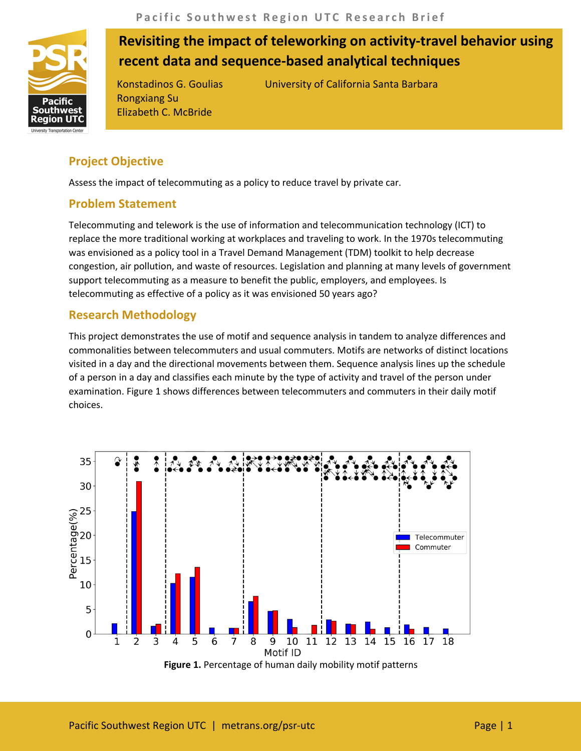

# **Revisiting the impact of teleworking on activity-travel behavior using recent data and sequence-based analytical techniques**

Rongxiang Su Elizabeth C. McBride

Konstadinos G. Goulias University of California Santa Barbara

# **Project Objective**

Assess the impact of telecommuting as a policy to reduce travel by private car.

## **Problem Statement**

Telecommuting and telework is the use of information and telecommunication technology (ICT) to replace the more traditional working at workplaces and traveling to work. In the 1970s telecommuting was envisioned as a policy tool in a Travel Demand Management (TDM) toolkit to help decrease congestion, air pollution, and waste of resources. Legislation and planning at many levels of government support telecommuting as a measure to benefit the public, employers, and employees. Is telecommuting as effective of a policy as it was envisioned 50 years ago?

### **Research Methodology**

This project demonstrates the use of motif and sequence analysis in tandem to analyze differences and commonalities between telecommuters and usual commuters. Motifs are networks of distinct locations visited in a day and the directional movements between them. Sequence analysis lines up the schedule of a person in a day and classifies each minute by the type of activity and travel of the person under examination. Figure 1 shows differences between telecommuters and commuters in their daily motif choices.

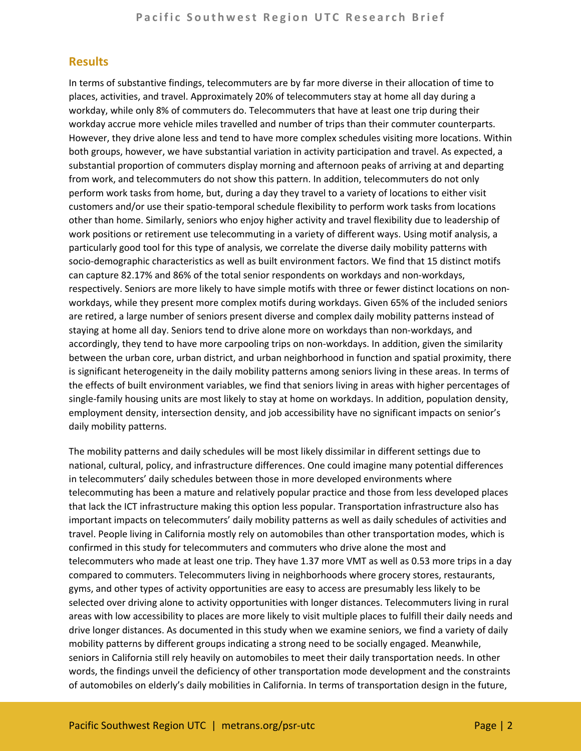#### **Results**

In terms of substantive findings, telecommuters are by far more diverse in their allocation of time to places, activities, and travel. Approximately 20% of telecommuters stay at home all day during a workday, while only 8% of commuters do. Telecommuters that have at least one trip during their workday accrue more vehicle miles travelled and number of trips than their commuter counterparts. However, they drive alone less and tend to have more complex schedules visiting more locations. Within both groups, however, we have substantial variation in activity participation and travel. As expected, a substantial proportion of commuters display morning and afternoon peaks of arriving at and departing from work, and telecommuters do not show this pattern. In addition, telecommuters do not only perform work tasks from home, but, during a day they travel to a variety of locations to either visit customers and/or use their spatio-temporal schedule flexibility to perform work tasks from locations other than home. Similarly, seniors who enjoy higher activity and travel flexibility due to leadership of work positions or retirement use telecommuting in a variety of different ways. Using motif analysis, a particularly good tool for this type of analysis, we correlate the diverse daily mobility patterns with socio-demographic characteristics as well as built environment factors. We find that 15 distinct motifs can capture 82.17% and 86% of the total senior respondents on workdays and non-workdays, respectively. Seniors are more likely to have simple motifs with three or fewer distinct locations on nonworkdays, while they present more complex motifs during workdays. Given 65% of the included seniors are retired, a large number of seniors present diverse and complex daily mobility patterns instead of staying at home all day. Seniors tend to drive alone more on workdays than non-workdays, and accordingly, they tend to have more carpooling trips on non-workdays. In addition, given the similarity between the urban core, urban district, and urban neighborhood in function and spatial proximity, there is significant heterogeneity in the daily mobility patterns among seniors living in these areas. In terms of the effects of built environment variables, we find that seniors living in areas with higher percentages of single-family housing units are most likely to stay at home on workdays. In addition, population density, employment density, intersection density, and job accessibility have no significant impacts on senior's daily mobility patterns.

The mobility patterns and daily schedules will be most likely dissimilar in different settings due to national, cultural, policy, and infrastructure differences. One could imagine many potential differences in telecommuters' daily schedules between those in more developed environments where telecommuting has been a mature and relatively popular practice and those from less developed places that lack the ICT infrastructure making this option less popular. Transportation infrastructure also has important impacts on telecommuters' daily mobility patterns as well as daily schedules of activities and travel. People living in California mostly rely on automobiles than other transportation modes, which is confirmed in this study for telecommuters and commuters who drive alone the most and telecommuters who made at least one trip. They have 1.37 more VMT as well as 0.53 more trips in a day compared to commuters. Telecommuters living in neighborhoods where grocery stores, restaurants, gyms, and other types of activity opportunities are easy to access are presumably less likely to be selected over driving alone to activity opportunities with longer distances. Telecommuters living in rural areas with low accessibility to places are more likely to visit multiple places to fulfill their daily needs and drive longer distances. As documented in this study when we examine seniors, we find a variety of daily mobility patterns by different groups indicating a strong need to be socially engaged. Meanwhile, seniors in California still rely heavily on automobiles to meet their daily transportation needs. In other words, the findings unveil the deficiency of other transportation mode development and the constraints of automobiles on elderly's daily mobilities in California. In terms of transportation design in the future,